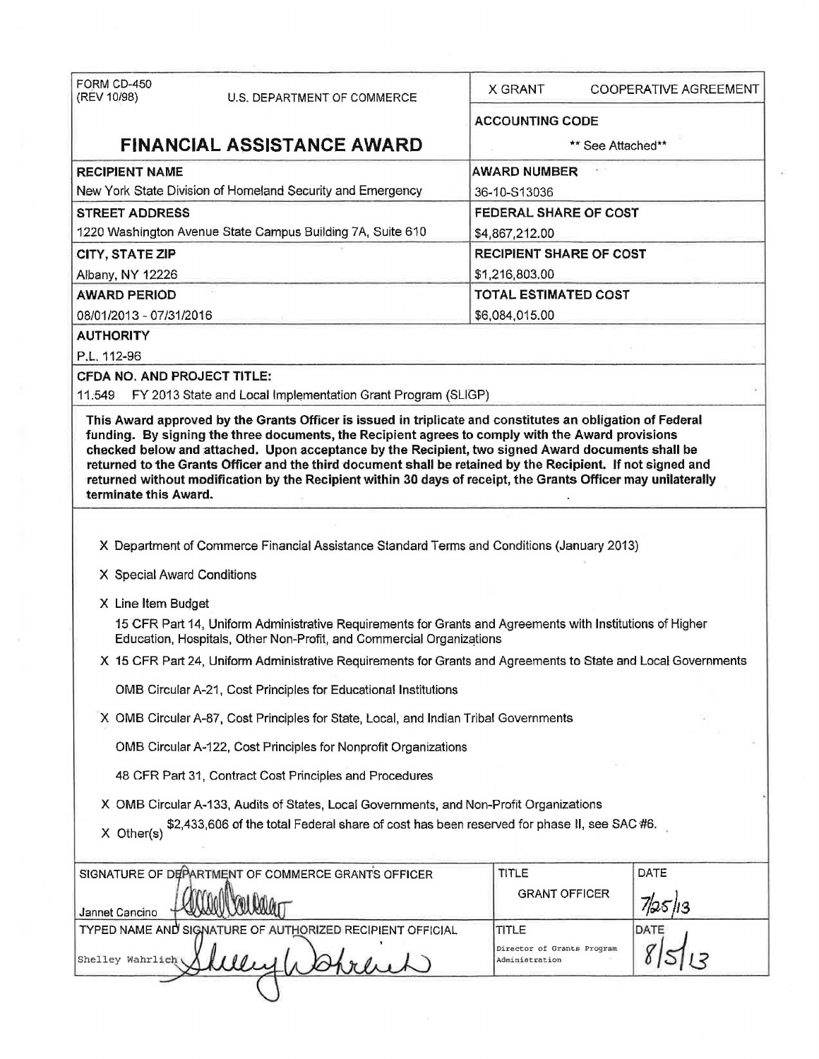| FORM CD-450<br>(REV 10/98)  | U.S. DEPARTMENT OF COMMERCE                                                                                                                                                       | X GRANT                                      | <b>COOPERATIVE AGREEMENT</b> |  |  |
|-----------------------------|-----------------------------------------------------------------------------------------------------------------------------------------------------------------------------------|----------------------------------------------|------------------------------|--|--|
|                             |                                                                                                                                                                                   | <b>ACCOUNTING CODE</b>                       |                              |  |  |
|                             | <b>FINANCIAL ASSISTANCE AWARD</b>                                                                                                                                                 |                                              | ** See Attached**            |  |  |
| <b>RECIPIENT NAME</b>       |                                                                                                                                                                                   | <b>AWARD NUMBER</b>                          |                              |  |  |
|                             | New York State Division of Homeland Security and Emergency                                                                                                                        | 36-10-S13036                                 |                              |  |  |
| <b>STREET ADDRESS</b>       |                                                                                                                                                                                   |                                              | FEDERAL SHARE OF COST        |  |  |
|                             | 1220 Washington Avenue State Campus Building 7A, Suite 610                                                                                                                        | \$4,867,212.00                               |                              |  |  |
| <b>CITY, STATE ZIP</b>      |                                                                                                                                                                                   | <b>RECIPIENT SHARE OF COST</b>               |                              |  |  |
| Albany, NY 12226            |                                                                                                                                                                                   | \$1,216,803.00                               |                              |  |  |
| <b>AWARD PERIOD</b>         |                                                                                                                                                                                   |                                              | <b>TOTAL ESTIMATED COST</b>  |  |  |
| 08/01/2013 - 07/31/2016     |                                                                                                                                                                                   |                                              | \$6,084,015.00               |  |  |
| <b>AUTHORITY</b>            |                                                                                                                                                                                   |                                              |                              |  |  |
| P.L. 112-96                 |                                                                                                                                                                                   |                                              |                              |  |  |
| CFDA NO. AND PROJECT TITLE: |                                                                                                                                                                                   |                                              |                              |  |  |
| 11.549                      | FY 2013 State and Local Implementation Grant Program (SLIGP)                                                                                                                      |                                              |                              |  |  |
| terminate this Award.       | X Department of Commerce Financial Assistance Standard Terms and Conditions (January 2013)                                                                                        |                                              |                              |  |  |
| X Special Award Conditions  |                                                                                                                                                                                   |                                              |                              |  |  |
| X Line Item Budget          |                                                                                                                                                                                   |                                              |                              |  |  |
|                             | 15 CFR Part 14, Uniform Administrative Requirements for Grants and Agreements with Institutions of Higher<br>Education, Hospitals, Other Non-Profit, and Commercial Organizations |                                              |                              |  |  |
|                             | X 15 CFR Part 24, Uniform Administrative Requirements for Grants and Agreements to State and Local Governments                                                                    |                                              |                              |  |  |
|                             | OMB Circular A-21, Cost Principles for Educational Institutions                                                                                                                   |                                              |                              |  |  |
|                             | X OMB Circular A-87, Cost Principles for State, Local, and Indian Tribal Governments                                                                                              |                                              |                              |  |  |
|                             | OMB Circular A-122, Cost Principles for Nonprofit Organizations                                                                                                                   |                                              |                              |  |  |
|                             | 48 CFR Part 31, Contract Cost Principles and Procedures                                                                                                                           |                                              |                              |  |  |
|                             | X OMB Circular A-133, Audits of States, Local Governments, and Non-Profit Organizations                                                                                           |                                              |                              |  |  |
| $X$ Other(s)                | \$2,433,606 of the total Federal share of cost has been reserved for phase II, see SAC #6.                                                                                        |                                              |                              |  |  |
|                             | SIGNATURE OF DEPARTMENT OF COMMERCE GRANTS OFFICER                                                                                                                                | <b>TITLE</b>                                 | DATE                         |  |  |
| Jannet Cancino              |                                                                                                                                                                                   | <b>GRANT OFFICER</b>                         |                              |  |  |
|                             | TYPED NAME AND SIGNATURE OF AUTHORIZED RECIPIENT OFFICIAL                                                                                                                         | TITLE                                        | DATE                         |  |  |
| Shelley Wahrlich            |                                                                                                                                                                                   | Director of Grants Program<br>Administration |                              |  |  |
|                             |                                                                                                                                                                                   |                                              |                              |  |  |

 $\bar{\mathrm{s}}$